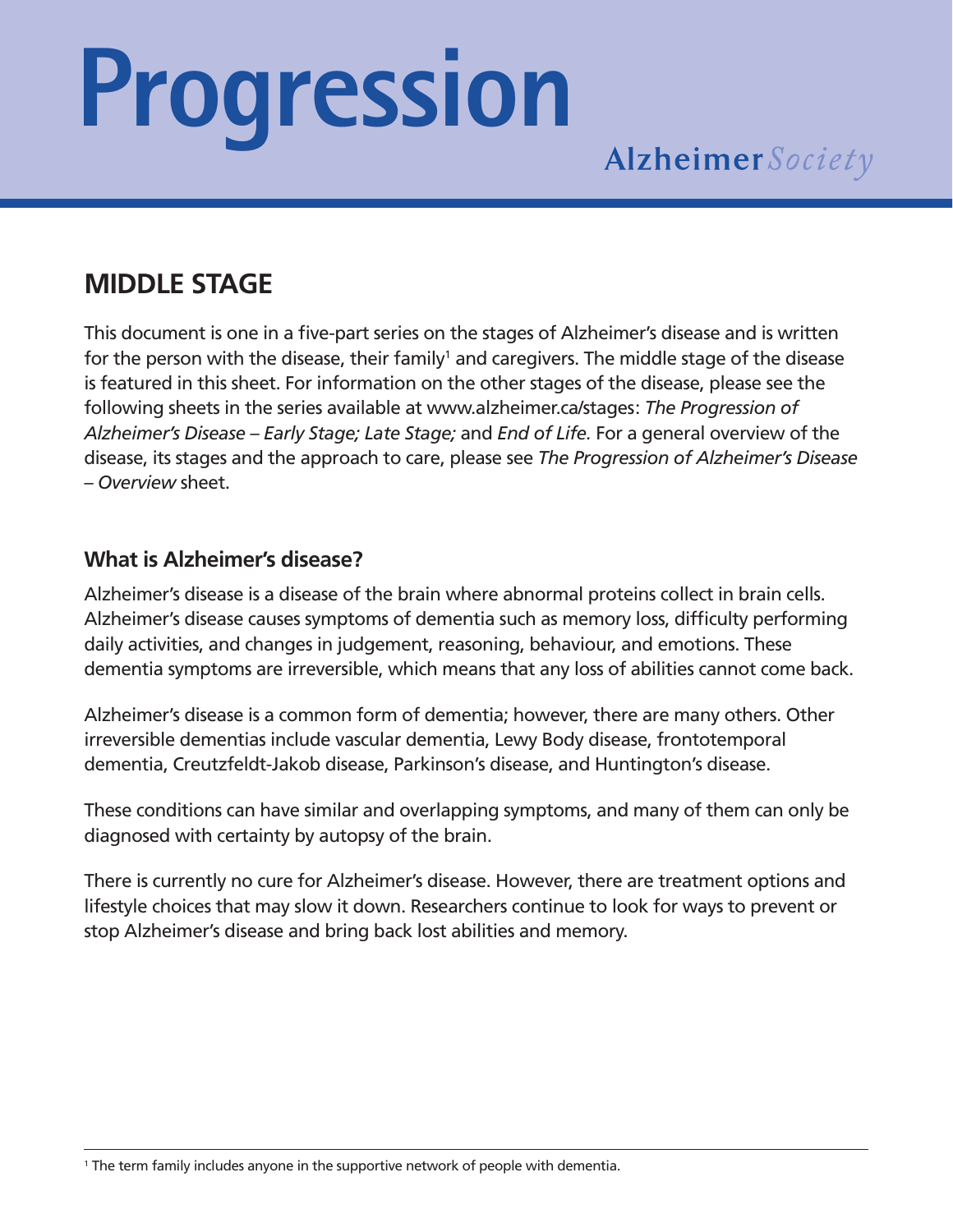# **Progression**

### **MIDDLE STAGE**

This document is one in a five-part series on the stages of Alzheimer's disease and is written for the person with the disease, their family<sup>1</sup> and caregivers. The middle stage of the disease is featured in this sheet. For information on the other stages of the disease, please see the following sheets in the series available at www.alzheimer.ca/stages: *The Progression of Alzheimer's Disease – Early Stage; Late Stage;* and *End of Life.* For a general overview of the disease, its stages and the approach to care, please see *The Progression of Alzheimer's Disease – Overview* sheet.

#### **What is Alzheimer's disease?**

Alzheimer's disease is a disease of the brain where abnormal proteins collect in brain cells. Alzheimer's disease causes symptoms of dementia such as memory loss, difficulty performing daily activities, and changes in judgement, reasoning, behaviour, and emotions. These dementia symptoms are irreversible, which means that any loss of abilities cannot come back.

Alzheimer's disease is a common form of dementia; however, there are many others. Other irreversible dementias include vascular dementia, Lewy Body disease, frontotemporal dementia, Creutzfeldt-Jakob disease, Parkinson's disease, and Huntington's disease.

These conditions can have similar and overlapping symptoms, and many of them can only be diagnosed with certainty by autopsy of the brain.

There is currently no cure for Alzheimer's disease. However, there are treatment options and lifestyle choices that may slow it down. Researchers continue to look for ways to prevent or stop Alzheimer's disease and bring back lost abilities and memory.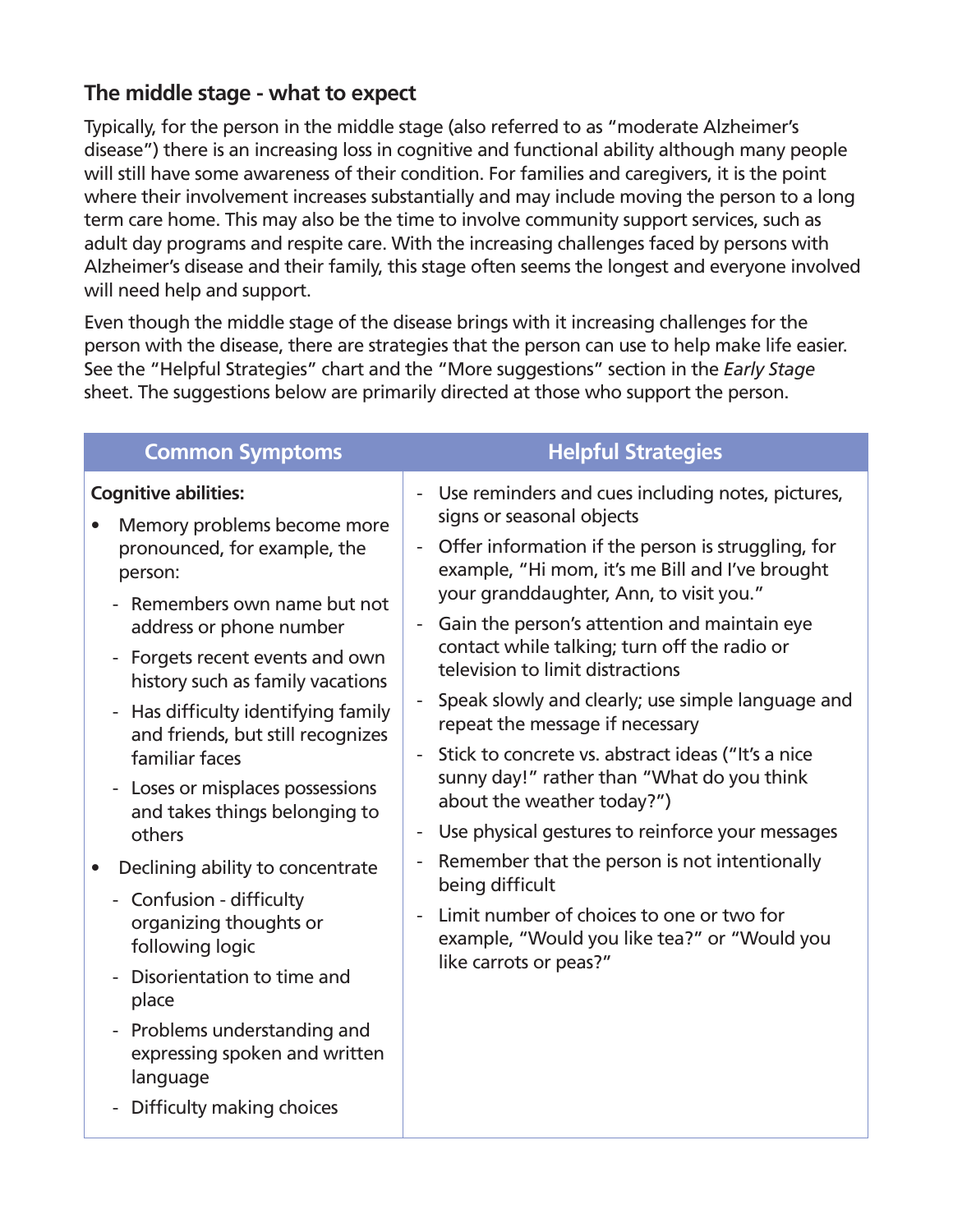#### **The middle stage - what to expect**

Typically, for the person in the middle stage (also referred to as "moderate Alzheimer's disease") there is an increasing loss in cognitive and functional ability although many people will still have some awareness of their condition. For families and caregivers, it is the point where their involvement increases substantially and may include moving the person to a long term care home. This may also be the time to involve community support services, such as adult day programs and respite care. With the increasing challenges faced by persons with Alzheimer's disease and their family, this stage often seems the longest and everyone involved will need help and support.

Even though the middle stage of the disease brings with it increasing challenges for the person with the disease, there are strategies that the person can use to help make life easier. See the "Helpful Strategies" chart and the "More suggestions" section in the *Early Stage* sheet. The suggestions below are primarily directed at those who support the person.

| <b>Common Symptoms</b>                                                                                                           | <b>Helpful Strategies</b>                                                                                                                                                                                                                                                                                                                                                                                                                                                                                                                                                                                                                                                                                                                |
|----------------------------------------------------------------------------------------------------------------------------------|------------------------------------------------------------------------------------------------------------------------------------------------------------------------------------------------------------------------------------------------------------------------------------------------------------------------------------------------------------------------------------------------------------------------------------------------------------------------------------------------------------------------------------------------------------------------------------------------------------------------------------------------------------------------------------------------------------------------------------------|
| <b>Cognitive abilities:</b><br>Memory problems become more<br>pronounced, for example, the<br>person:                            | Use reminders and cues including notes, pictures,<br>$\overline{\phantom{a}}$<br>signs or seasonal objects<br>Offer information if the person is struggling, for<br>$\overline{\phantom{a}}$<br>example, "Hi mom, it's me Bill and I've brought<br>your granddaughter, Ann, to visit you."<br>Gain the person's attention and maintain eye<br>contact while talking; turn off the radio or<br>television to limit distractions<br>Speak slowly and clearly; use simple language and<br>repeat the message if necessary<br>Stick to concrete vs. abstract ideas ("It's a nice<br>$\overline{\phantom{a}}$<br>sunny day!" rather than "What do you think<br>about the weather today?")<br>Use physical gestures to reinforce your messages |
| - Remembers own name but not<br>address or phone number<br>- Forgets recent events and own<br>history such as family vacations   |                                                                                                                                                                                                                                                                                                                                                                                                                                                                                                                                                                                                                                                                                                                                          |
| - Has difficulty identifying family<br>and friends, but still recognizes<br>familiar faces                                       |                                                                                                                                                                                                                                                                                                                                                                                                                                                                                                                                                                                                                                                                                                                                          |
| - Loses or misplaces possessions<br>and takes things belonging to<br>others                                                      |                                                                                                                                                                                                                                                                                                                                                                                                                                                                                                                                                                                                                                                                                                                                          |
| Declining ability to concentrate                                                                                                 | Remember that the person is not intentionally<br>being difficult                                                                                                                                                                                                                                                                                                                                                                                                                                                                                                                                                                                                                                                                         |
| - Confusion - difficulty<br>organizing thoughts or<br>following logic<br>Disorientation to time and<br>place                     | Limit number of choices to one or two for<br>example, "Would you like tea?" or "Would you<br>like carrots or peas?"                                                                                                                                                                                                                                                                                                                                                                                                                                                                                                                                                                                                                      |
| Problems understanding and<br>$\overline{\phantom{a}}$<br>expressing spoken and written<br>language<br>Difficulty making choices |                                                                                                                                                                                                                                                                                                                                                                                                                                                                                                                                                                                                                                                                                                                                          |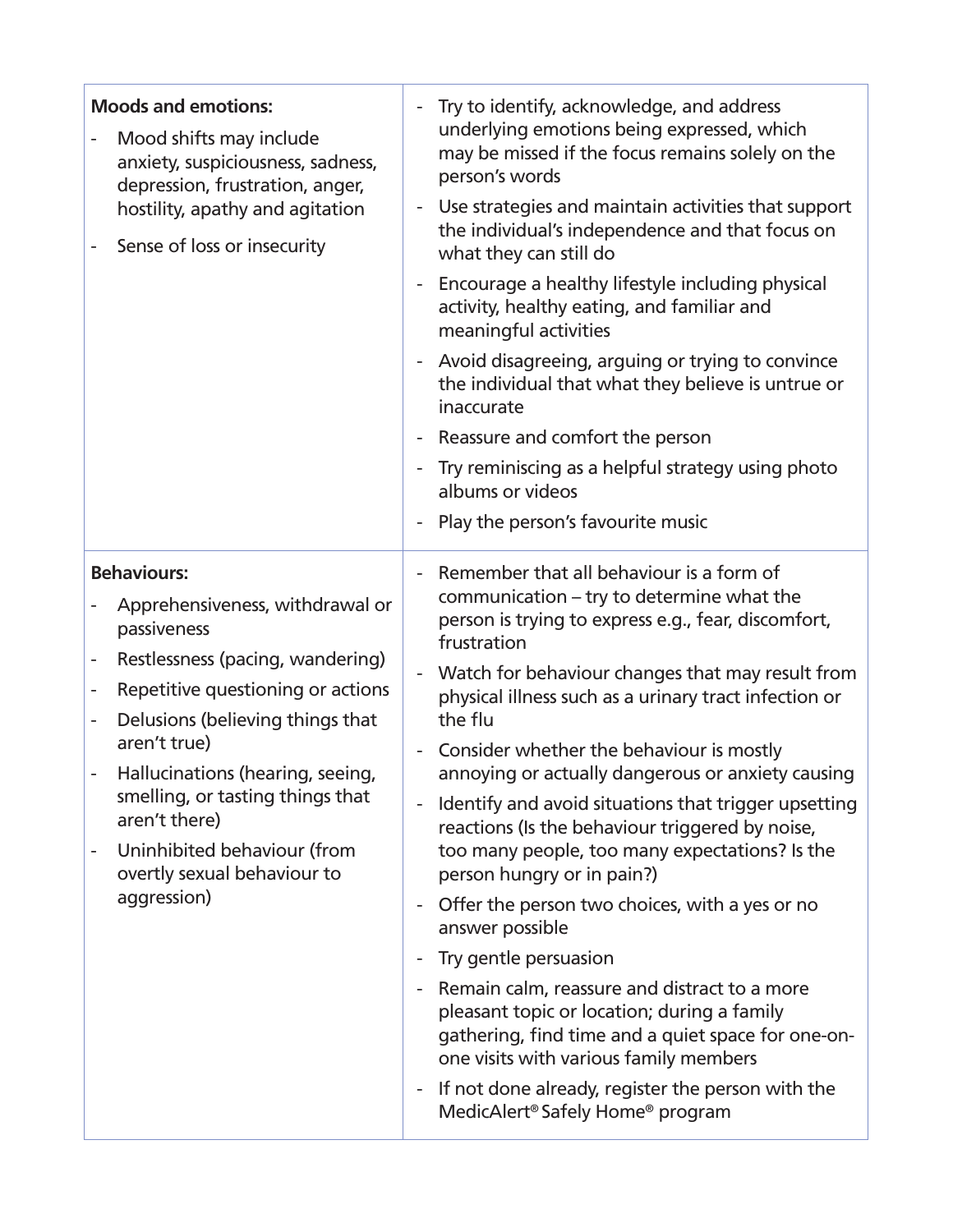| <b>Moods and emotions:</b><br>Mood shifts may include<br>anxiety, suspiciousness, sadness,<br>depression, frustration, anger,<br>hostility, apathy and agitation<br>Sense of loss or insecurity                                                                                                                                                                                                          | Try to identify, acknowledge, and address<br>underlying emotions being expressed, which<br>may be missed if the focus remains solely on the<br>person's words<br>Use strategies and maintain activities that support<br>the individual's independence and that focus on<br>what they can still do<br>Encourage a healthy lifestyle including physical<br>activity, healthy eating, and familiar and<br>meaningful activities<br>Avoid disagreeing, arguing or trying to convince<br>the individual that what they believe is untrue or<br>inaccurate<br>Reassure and comfort the person<br>Try reminiscing as a helpful strategy using photo<br>albums or videos<br>Play the person's favourite music                                                                                                                                                                                                                                                                 |
|----------------------------------------------------------------------------------------------------------------------------------------------------------------------------------------------------------------------------------------------------------------------------------------------------------------------------------------------------------------------------------------------------------|-----------------------------------------------------------------------------------------------------------------------------------------------------------------------------------------------------------------------------------------------------------------------------------------------------------------------------------------------------------------------------------------------------------------------------------------------------------------------------------------------------------------------------------------------------------------------------------------------------------------------------------------------------------------------------------------------------------------------------------------------------------------------------------------------------------------------------------------------------------------------------------------------------------------------------------------------------------------------|
| <b>Behaviours:</b><br>Apprehensiveness, withdrawal or<br>passiveness<br>Restlessness (pacing, wandering)<br>Repetitive questioning or actions<br>-<br>Delusions (believing things that<br>$\overline{\phantom{0}}$<br>aren't true)<br>Hallucinations (hearing, seeing,<br>smelling, or tasting things that<br>aren't there)<br>Uninhibited behaviour (from<br>overtly sexual behaviour to<br>aggression) | Remember that all behaviour is a form of<br>communication – try to determine what the<br>person is trying to express e.g., fear, discomfort,<br>frustration<br>Watch for behaviour changes that may result from<br>physical illness such as a urinary tract infection or<br>the flu<br>Consider whether the behaviour is mostly<br>annoying or actually dangerous or anxiety causing<br>Identify and avoid situations that trigger upsetting<br>reactions (Is the behaviour triggered by noise,<br>too many people, too many expectations? Is the<br>person hungry or in pain?)<br>Offer the person two choices, with a yes or no<br>answer possible<br>Try gentle persuasion<br>Remain calm, reassure and distract to a more<br>pleasant topic or location; during a family<br>gathering, find time and a quiet space for one-on-<br>one visits with various family members<br>If not done already, register the person with the<br>MedicAlert® Safely Home® program |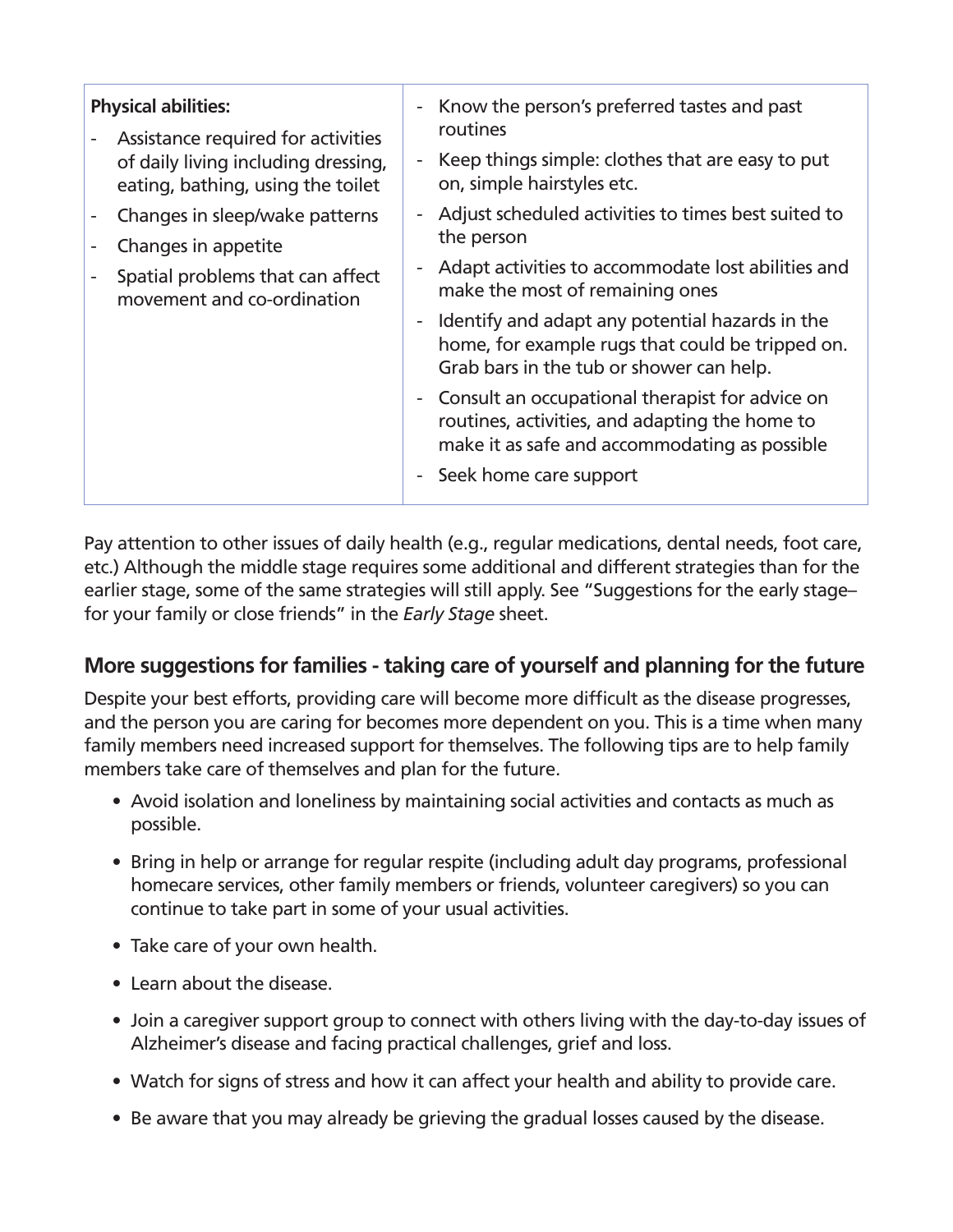| <b>Physical abilities:</b><br>Assistance required for activities         | Know the person's preferred tastes and past<br>routines                                                                                              |
|--------------------------------------------------------------------------|------------------------------------------------------------------------------------------------------------------------------------------------------|
| of daily living including dressing,<br>eating, bathing, using the toilet | Keep things simple: clothes that are easy to put<br>on, simple hairstyles etc.                                                                       |
| Changes in sleep/wake patterns<br>Changes in appetite                    | Adjust scheduled activities to times best suited to<br>the person                                                                                    |
| Spatial problems that can affect<br>movement and co-ordination           | Adapt activities to accommodate lost abilities and<br>make the most of remaining ones                                                                |
|                                                                          | Identify and adapt any potential hazards in the<br>home, for example rugs that could be tripped on.<br>Grab bars in the tub or shower can help.      |
|                                                                          | - Consult an occupational therapist for advice on<br>routines, activities, and adapting the home to<br>make it as safe and accommodating as possible |
|                                                                          | Seek home care support                                                                                                                               |

Pay attention to other issues of daily health (e.g., regular medications, dental needs, foot care, etc.) Although the middle stage requires some additional and different strategies than for the earlier stage, some of the same strategies will still apply. See "Suggestions for the early stage– for your family or close friends" in the *Early Stage* sheet.

#### **More suggestions for families - taking care of yourself and planning for the future**

Despite your best efforts, providing care will become more difficult as the disease progresses, and the person you are caring for becomes more dependent on you. This is a time when many family members need increased support for themselves. The following tips are to help family members take care of themselves and plan for the future.

- Avoid isolation and loneliness by maintaining social activities and contacts as much as possible.
- Bring in help or arrange for regular respite (including adult day programs, professional homecare services, other family members or friends, volunteer caregivers) so you can continue to take part in some of your usual activities.
- Take care of your own health.
- Learn about the disease.
- Join a caregiver support group to connect with others living with the day-to-day issues of Alzheimer's disease and facing practical challenges, grief and loss.
- Watch for signs of stress and how it can affect your health and ability to provide care.
- Be aware that you may already be grieving the gradual losses caused by the disease.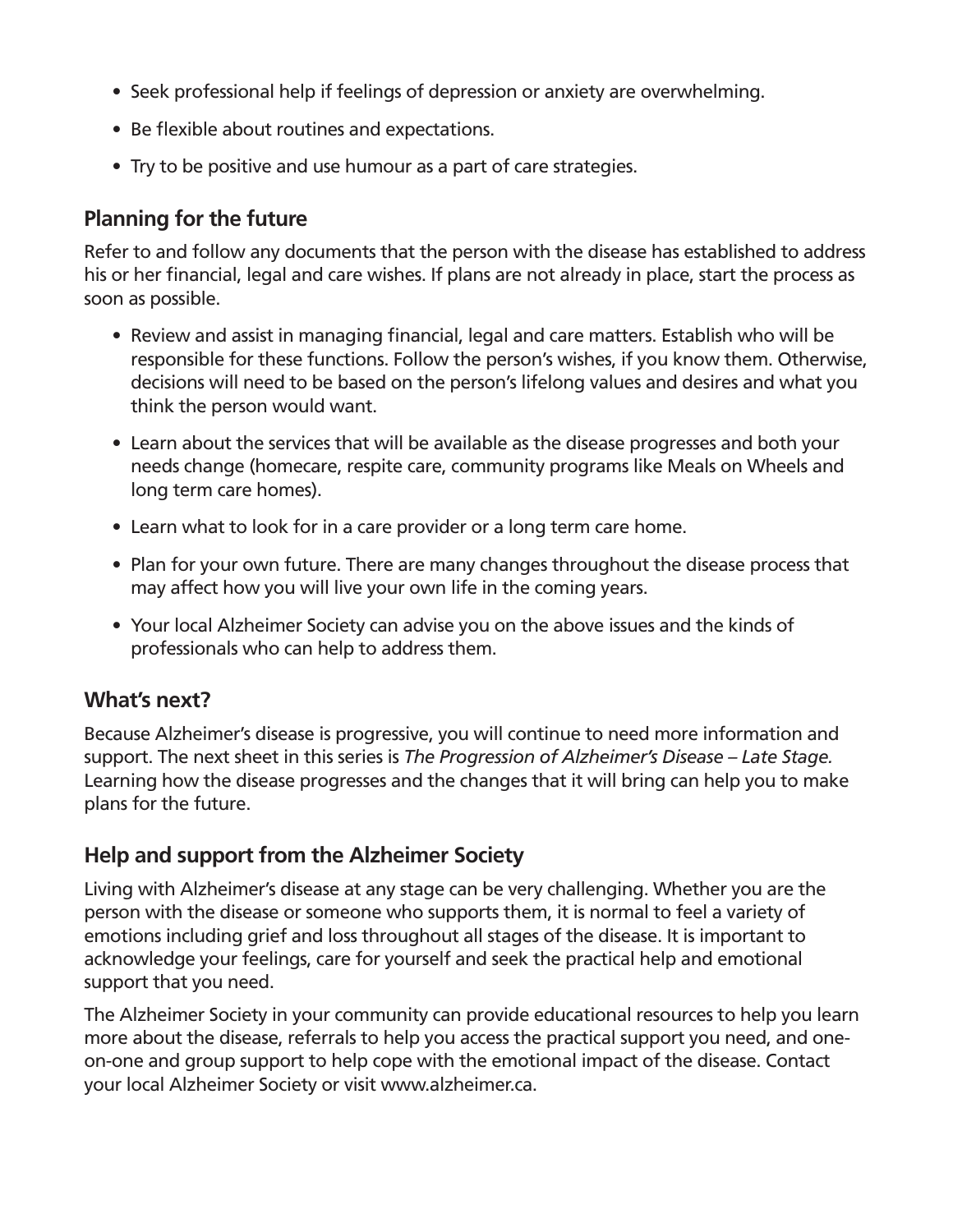- Seek professional help if feelings of depression or anxiety are overwhelming.
- Be flexible about routines and expectations.
- Try to be positive and use humour as a part of care strategies.

#### **Planning for the future**

Refer to and follow any documents that the person with the disease has established to address his or her financial, legal and care wishes. If plans are not already in place, start the process as soon as possible.

- Review and assist in managing financial, legal and care matters. Establish who will be responsible for these functions. Follow the person's wishes, if you know them. Otherwise, decisions will need to be based on the person's lifelong values and desires and what you think the person would want.
- Learn about the services that will be available as the disease progresses and both your needs change (homecare, respite care, community programs like Meals on Wheels and long term care homes).
- Learn what to look for in a care provider or a long term care home.
- Plan for your own future. There are many changes throughout the disease process that may affect how you will live your own life in the coming years.
- Your local Alzheimer Society can advise you on the above issues and the kinds of professionals who can help to address them.

#### **What's next?**

Because Alzheimer's disease is progressive, you will continue to need more information and support. The next sheet in this series is *The Progression of Alzheimer's Disease – Late Stage.*  Learning how the disease progresses and the changes that it will bring can help you to make plans for the future.

#### **Help and support from the Alzheimer Society**

Living with Alzheimer's disease at any stage can be very challenging. Whether you are the person with the disease or someone who supports them, it is normal to feel a variety of emotions including grief and loss throughout all stages of the disease. It is important to acknowledge your feelings, care for yourself and seek the practical help and emotional support that you need.

The Alzheimer Society in your community can provide educational resources to help you learn more about the disease, referrals to help you access the practical support you need, and oneon-one and group support to help cope with the emotional impact of the disease. Contact your local Alzheimer Society or visit www.alzheimer.ca.